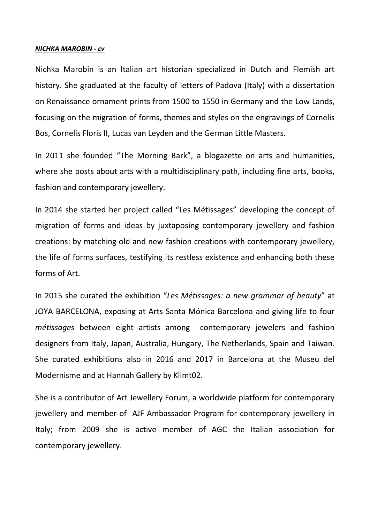#### *NICHKA MAROBIN - cv*

Nichka Marobin is an Italian art historian specialized in Dutch and Flemish art history. She graduated at the faculty of letters of Padova (Italy) with a dissertation on Renaissance ornament prints from 1500 to 1550 in Germany and the Low Lands, focusing on the migration of forms, themes and styles on the engravings of Cornelis Bos, Cornelis Floris II, Lucas van Leyden and the German Little Masters.

In 2011 she founded "The Morning Bark", a blogazette on arts and humanities, where she posts about arts with a multidisciplinary path, including fine arts, books, fashion and contemporary jewellery.

In 2014 she started her project called "Les Métissages" developing the concept of migration of forms and ideas by juxtaposing contemporary jewellery and fashion creations: by matching old and new fashion creations with contemporary jewellery, the life of forms surfaces, testifying its restless existence and enhancing both these forms of Art.

In 2015 she curated the exhibition "*Les Métissages: a new grammar of beauty*" at JOYA BARCELONA, exposing at Arts Santa Mónica Barcelona and giving life to four *métissages* between eight artists among contemporary jewelers and fashion designers from Italy, Japan, Australia, Hungary, The Netherlands, Spain and Taiwan. She curated exhibitions also in 2016 and 2017 in Barcelona at the Museu del Modernisme and at Hannah Gallery by Klimt02.

She is a contributor of Art Jewellery Forum, a worldwide platform for contemporary jewellery and member of AJF Ambassador Program for contemporary jewellery in Italy; from 2009 she is active member of AGC the Italian association for contemporary jewellery.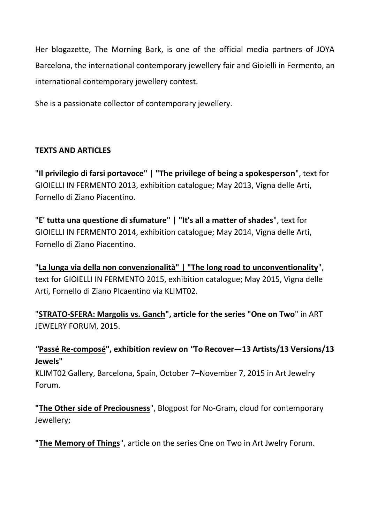Her blogazette, The Morning Bark, is one of the official media partners of JOYA Barcelona, the international contemporary jewellery fair and Gioielli in Fermento, an international contemporary jewellery contest.

She is a passionate collector of contemporary jewellery.

## **TEXTS AND ARTICLES**

"**Il privilegio di farsi portavoce" | "The privilege of being a spokesperson**", text for GIOIELLI IN FERMENTO 2013, exhibition catalogue; May 2013, Vigna delle Arti, Fornello di Ziano Piacentino.

"**E' tutta una questione di sfumature" | "It's all a matter of shades**", text for GIOIELLI IN FERMENTO 2014, exhibition catalogue; May 2014, Vigna delle Arti, Fornello di Ziano Piacentino.

"**[La lunga via della non convenzionalità" | "The long road to unconventionality](http://klimt02.net/forum/articles/gioielli-fermento-2015-long-road-unconventionality-nichka-marobin)**", text for GIOIELLI IN FERMENTO 2015, exhibition catalogue; May 2015, Vigna delle Arti, Fornello di Ziano PIcaentino via KLIMT02.

"**[STRATO-SFERA: Margolis vs. Ganch"](https://artjewelryforum.org/node/7151), article for the series "One on Two**" in ART JEWELRY FORUM, 2015.

*"***[Passé Re-composé"](https://artjewelryforum.org/pass%C3%A9-recompos%C3%A9), exhibition review on** *"***To Recover—13 Artists/13 Versions/13 Jewels"**

KLIMT02 Gallery, Barcelona, Spain, October 7–November 7, 2015 in Art Jewelry Forum.

**["The Other side of Preciousness](http://www.no-gram.com/notebook/12_the-other-side-of-preciousness.html)**", Blogpost for No-Gram, cloud for contemporary Jewellery;

**["The Memory of Things](https://artjewelryforum.org/the-memory-of-things-slotte-versus-talbot)**", article on the series One on Two in Art Jwelry Forum.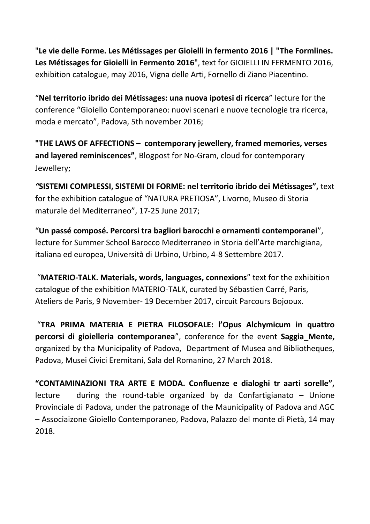"**Le vie delle Forme. Les Métissages per Gioielli in fermento 2016 | "The Formlines. Les Métissages for Gioielli in Fermento 2016**", text for GIOIELLI IN FERMENTO 2016, exhibition catalogue, may 2016, Vigna delle Arti, Fornello di Ziano Piacentino.

"**Nel territorio ibrido dei Métissages: una nuova ipotesi di ricerca**" lecture for the conference "Gioiello Contemporaneo: nuovi scenari e nuove tecnologie tra ricerca, moda e mercato", Padova, 5th november 2016;

**"THE LAWS OF AFFECTIONS – contemporary jewellery, framed memories, verses and layered reminiscences"**, Blogpost for No-Gram, cloud for contemporary Jewellery;

*"***SISTEMI COMPLESSI, SISTEMI DI FORME: nel territorio ibrido dei Métissages",** text for the exhibition catalogue of "NATURA PRETIOSA", Livorno, Museo di Storia maturale del Mediterraneo", 17-25 June 2017;

"**Un passé composé. Percorsi tra bagliori barocchi e ornamenti contemporanei**", lecture for Summer School Barocco Mediterraneo in Storia dell'Arte marchigiana, italiana ed europea, Università di Urbino, Urbino, 4-8 Settembre 2017.

"**MATERIO-TALK. Materials, words, languages, connexions**" text for the exhibition catalogue of the exhibition MATERIO-TALK, curated by Sébastien Carré, Paris, Ateliers de Paris, 9 November- 19 December 2017, circuit Parcours Bojooux.

"**TRA PRIMA MATERIA E PIETRA FILOSOFALE: l'Opus Alchymicum in quattro percorsi di gioielleria contemporanea**", conference for the event **Saggia\_Mente,** organized by tha Municipality of Padova, Department of Musea and Bibliotheques, Padova, Musei Civici Eremitani, Sala del Romanino, 27 March 2018.

**"CONTAMINAZIONI TRA ARTE E MODA. Confluenze e dialoghi tr aarti sorelle",**  lecture during the round-table organized by da Confartigianato – Unione Provinciale di Padova, under the patronage of the Maunicipality of Padova and AGC – Associaizone Gioiello Contemporaneo, Padova, Palazzo del monte di Pietà, 14 may 2018.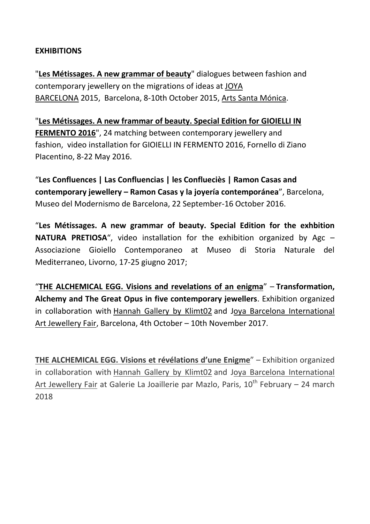## **EXHIBITIONS**

"**[Les Métissages. A new grammar of beauty](http://www.joyabarcelona.com/index.php/en/guest-exhibitions)**" dialogues between fashion and contemporary jewellery on the migrations of ideas at [JOYA](http://www.joyabarcelona.com/index.php/en/)  [BARCELONA](http://www.joyabarcelona.com/index.php/en/) 2015, Barcelona, 8-10th October 2015, [Arts Santa Mónica.](http://artssantamonica.gencat.cat/en/index.html)

"**[Les Métissages. A new frammar of beauty. Special Edition for GIOIELLI IN](https://www.facebook.com/events/605113172973120/)  [FERMENTO 2016](https://www.facebook.com/events/605113172973120/)**", 24 matching between contemporary jewellery and fashion, video installation for GIOIELLI IN FERMENTO 2016, Fornello di Ziano PIacentino, 8-22 May 2016.

"**Les Confluences | Las Confluencias | les Conflueciès | Ramon Casas and contemporary jewellery – Ramon Casas y la joyería contemporánea**", Barcelona, Museo del Modernismo de Barcelona, 22 September-16 October 2016.

"**Les Métissages. A new grammar of beauty. Special Edition for the exhbition NATURA PRETIOSA**", video installation for the exhibition organized by Agc – Associazione Gioiello Contemporaneo at Museo di Storia Naturale del Mediterraneo, Livorno, 17-25 giugno 2017;

"**THE [ALCHEMICAL](https://klimt02.net/events/exhibitions/alchemical-egg-hannah-gallery) EGG. Visions and revelations of an enigma**" – **Transformation, Alchemy and The Great Opus in five contemporary jewellers**. Exhibition organized in collaboration with [Hannah](http://klimt02.net/hannahgallery/) Gallery by Klimt02 and Joya Barcelona [International](http://www.joyabarcelona.com/index.php/en/) Art [Jewellery](http://www.joyabarcelona.com/index.php/en/) Fair, Barcelona, 4th October – 10th November 2017.

**THE ALCHEMICAL EGG. Visions et révélations d'une Enigme**" – Exhibition organized in collaboration with [Hannah](http://klimt02.net/hannahgallery/) Gallery by Klimt02 and Joya Barcelona [International](http://www.joyabarcelona.com/index.php/en/) Art [Jewellery](http://www.joyabarcelona.com/index.php/en/) Fair at Galerie La Joaillerie par Mazlo, Paris,  $10<sup>th</sup>$  February – 24 march 2018